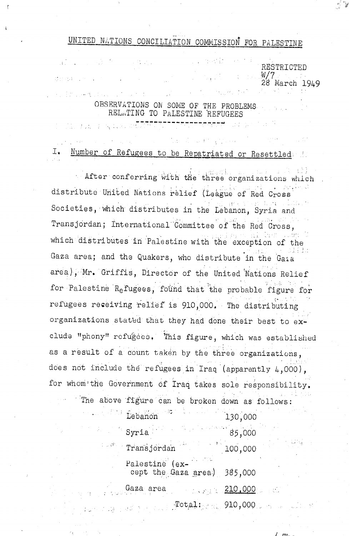# UNITED NATIONS CONCILIATION COMMISSION FOR PALESTINE

RESTRICTED W/7<br>28 March 1949

## OBSERVATIONS ON SOME OF THE PROBLEMS. RELATING TO PALESTINE REFUGEES

数据收集 医原子

化三氯乙烷 医神经反射器

i ili zuen hau

Number of Refugees to be Repatriated or Resettled Ι.

After conferring with the three organizations which distribute United Nations relief (League of Red Cross Societies, which distributes in the Lebanon, Syria and Transjordan; International Committee of the Red Cross, which distributes in Palestine with the exception of the Gaza area; and the Quakers, who distribute in the Gaia area), Mr. Griffis, Director of the United Nations Relief for Palestine Refugees, found that the probable figure for refugees receiving relief is 910,000. The distributing organizations stated that they had done their best to exclude "phony" refugees. This figure, which was established as a result of a count taken by the three organizations, does not include the refugees in Iraq (apparently  $4,000$ ), for whom the Government of Iraq takes sole responsibility.

The above figure can be broken down as follows: **Exercise Lebanon**  $130.000$ 

**コネット・エヌ** 

| 85,000<br>Syria                               |                                                                                                                        |  |
|-----------------------------------------------|------------------------------------------------------------------------------------------------------------------------|--|
| Transjordan                                   | 100,000                                                                                                                |  |
| Palestine (ex-<br>cept the Gaza area) 385,000 |                                                                                                                        |  |
| Gaza area                                     | <u> 210,000 - 210,000 - 210 - 210 - 210 - 210 - 210 - 210 - 210 - 210 - 210 - 210 - 210 - 210 - 210 - 210 - 210 - </u> |  |
| ۰ [م±ص‼.<br>and the company                   |                                                                                                                        |  |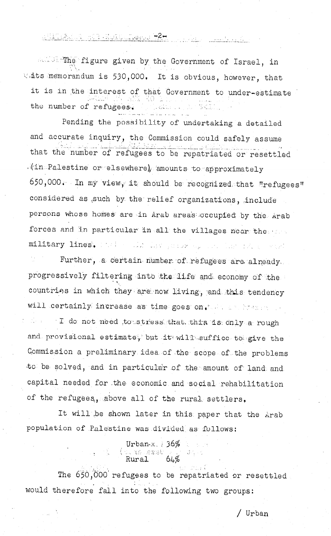<u>A MARIA A MARA MUNICIPALE (MARIA 1992) (MARIA 1992) (MARIA 1993) (MARIA 1993) (MARIA 1993) (MARIA 1994) (MARIA</u>

all The figure given by the Government of Israel, in Wats memorandum is 530,000. It is obvious, however, that it is in the interest of that Government to under-estimate the number of refugees.

المستأثر والمستعلم والمتعاون والمستقطع والمتوارد

Pending the possibility of undertaking a detailed and accurate inquiry, the Commission could safely assume that the number of refugees to be repatriated or resettled (in Palestine or elsewhere) amounts to approximately 650,000. In my view, it should be recognized that "refugees" considered as such by the relief organizations, include persons whose homes are in Arab areas occupied by the Arab forces and in particular in all the villages near the sermilitary lines. That a classical areas and her fact a weat

Further, a certain number of refugees are already. progressively filtering into the life and economy of the countries in which they are now living, and this tendency will certainly increase as time goes on. In a mater of the

 $\mathbb{L}$  of  $\mathbb{L}$  do not need to stress that this is only a rough and provisional estimate, but it will suffice to give the Commission a preliminary idea of the scope of the problems to be solved, and in particular of the amount of land and capital needed for the economic and social rehabilitation of the refugees, above all of the rural settlers.

It will be shown later in this paper that the Arab population of Palestine was divided as follows:

Urban- $x = 36\%$ <br>(as no see 64%)

The 650,000 refugees to be repatriated or resettled would therefore fall into the following two groups: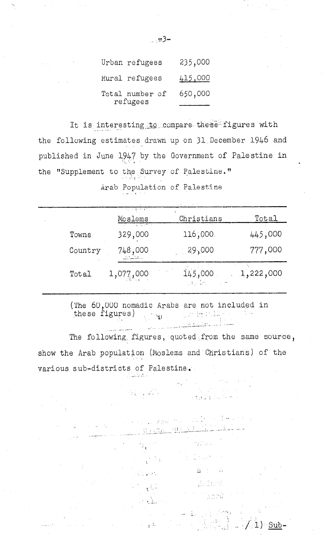| Urban refugees              | 235,000        |
|-----------------------------|----------------|
| Rural refugees              | <u>415,000</u> |
| Total number of<br>refugees | 650,000        |

It is interesting to compare these figures with the following estimates drawn up on 31 December 1946 and published in June 1947 by the Government of Palestine in the "Supplement to the Survey of Palestine."

Arab Population of Palestine

|         | <u>पर्युक्त के स</u><br>Moslems | Christians                                   | Total     |
|---------|---------------------------------|----------------------------------------------|-----------|
| Towns   | 329,000                         | 116,000.                                     | 445,000   |
| Country | 748,000                         | -- 29,000                                    | 777,000   |
| Total   | 1,077,000                       | 145,000<br>$\mathcal{A} \subset \mathcal{A}$ | 1,222,000 |

(The 60,000 nomadic Arabs are not included in these figures) an an Dùbhlach ann an Dùbhlach an Dùbhlach an Dùbhlach an Dùbhlach an Dùbhlach an Dùbhlach an Dùbhlach an Dùbh

The following figures, quoted from the same source, show the Arab population (Moslems and Christians) of the various sub-districts of Palestine.

> $\label{eq:3.1} \mathcal{L}(\mathcal{F}_{\mathcal{A}}) = \mathcal{L}(\mathcal{F}_{\mathcal{A}}(\mathcal{G})^{-1})^{\frac{1}{2}} \mathcal{F}_{\mathcal{A}}(\mathcal{G})^{-1}$ **RAMAN AREA**

> > y Alban

 $\frac{1}{2}$   $\frac{1}{2}$   $\frac{1}{2}$ 

 $\mathbb{R}^n$  . The same  $\mathbb{R}^n$ 

and the state of the

 $\frac{1}{4\pi\sqrt{3}}\frac{1}{4\pi}\left(\frac{1}{2}\sqrt{3}\frac{1}{3}\right)^{2}$ 

**Charles** 

一直 (1) 一定

**We Know** 

 $\omega \in \mathbb{R}^{n \times n}$ 

Tinge AD

 $\gamma_1,\gamma_2,\ldots,\gamma_{n-1}$  and  $\gamma_1$ 

1) Sub

… ⇔3–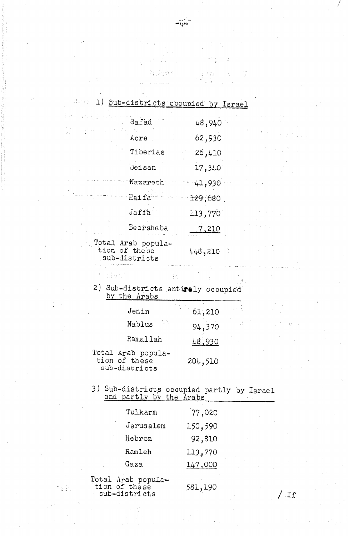| main 1) Sub-districts occupied by Israel                            |                                                      |                                    |  |
|---------------------------------------------------------------------|------------------------------------------------------|------------------------------------|--|
| $\mathcal{L}_{\mathcal{A}}$ is a subset of the set of $\mathcal{A}$ | Safad                                                | 48,940                             |  |
|                                                                     | Acre                                                 | 62,930                             |  |
|                                                                     | Tiberias                                             | 26,410                             |  |
|                                                                     | Beisan                                               | 17,340                             |  |
|                                                                     | Nazareth                                             | 41,930                             |  |
| Haifa                                                               |                                                      | 129,680                            |  |
|                                                                     | Jaffa                                                | 113,770                            |  |
|                                                                     | Beersheba                                            | <u>7,210</u>                       |  |
|                                                                     | Total Arab popula-<br>tion of these<br>sub-districts | 448,210                            |  |
| t sied                                                              |                                                      |                                    |  |
|                                                                     | $hrf + h \wedge h \wedge h \wedge h$                 | 2) Sub-districts entirely occupied |  |

ءَ پڻ س

 $\omega^{\alpha}$ 

 $\approx 100$ 

 $\omega$   $\omega$ 

 $\gamma_{\rm g}$ 

 $\langle \cdot \rangle_{\rm{E}}$ 

G,

 $\mathbb{Z}^4$ 

÷ **TAN** 

 $\mathcal{I}=\mathcal{I}$ 

拉拉尔

 $\hat{\boldsymbol{\beta}}$ 

 $\sqrt{2}$  .

 $\omega_{\rm m}$ 

 $\sim 10^{11}$  k  $^{-1}$  $\bar{\rm v}$ 

p. Josef

| 2) Sub-districts entirely occupied |  |
|------------------------------------|--|
| by the Arabs                       |  |

| Jenin                                                | 61,210       |
|------------------------------------------------------|--------------|
| tunci<br>Nablus                                      | τđ<br>94,370 |
| Ramallah                                             | 48.930       |
| Total Arab popula-<br>tion of these<br>sub-districts | 204,510      |

3) Sub-districts occupied partly by Israel<br>and partly by the Arabs

| Tulkarm      | 77,020  |
|--------------|---------|
| Jerusalem    | 150,590 |
| Hebron       | 92,810  |
| Ramleh       | 113,770 |
| Gaza         | 147,000 |
| Arab popula- |         |

tion of these sub-districts

Total

 $\sim 21$ 

581,190

 $\lambda^{(1)}$  .  $\lambda$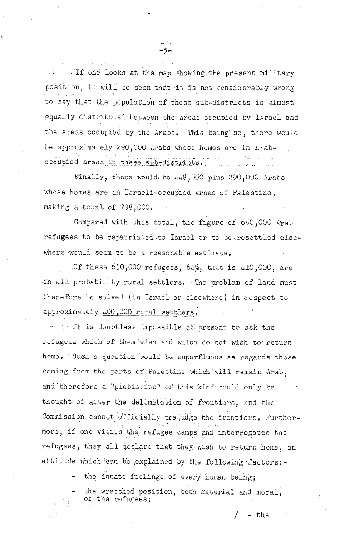in the lift one looks at the map showing the present military position, it will be seen that it is not considerably wrong to say that the population of these sub-districts is almost equally distributed between the areas occupied by Israel and the areas occupied by the Arabs. This being so, there would be approximately 290,000 Arabs whose homes are in Araboccupied areas in these sub-districts.

-5-

Finally, there would be  $448,000$  plus 290,000 Arabs whose homes are in Israeli-occupied areas of Palestine, making a total of 738,000.

Compared with this total, the figure of 650,000 Arab refugees to be repatriated to Israel or to be resettled elsewhere would seem to be a reasonable estimate.

Of these  $650,000$  refugees,  $64\%$ , that is  $410,000$ , are in all probability rural settlers. The problem of land must therefore be solved (in Israel or elsewhere) in respect to approximately 400,000 rural settlers.

the It is doubtless impossible at present to ask the refugees which of them wish and which do not wish to return home. Such a question would be superfluous as regards those coming from the parts of Palestine which will remain Arab, and therefore a "plebiscite" of this kind could only be . . . thought of after the delimitation of frontiers, and the Commission cannot officially prejudge the frontiers. Furthermore, if one visits the refugee camps and interrogates the refugees, they all declare that they wish to return home, an attitude which can be explained by the following factors:-

- the innate feelings of every human being:

the wretched position, both material and moral, of the refugees;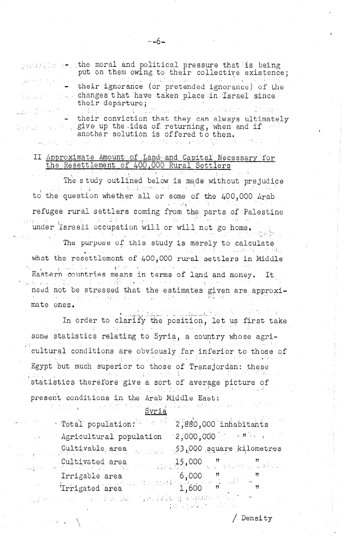| $\sqrt{m}$ is set the moral and political pressure that is being<br>put on them owing to their collective existence;                                                                        |  |
|---------------------------------------------------------------------------------------------------------------------------------------------------------------------------------------------|--|
| $\blacksquare$ their ignorance (or pretended ignorance) of the                                                                                                                              |  |
| produce the changes that have taken place in Israel since<br>their departure;                                                                                                               |  |
| $\mathcal{L}_{\text{max}}$ , which is a substitute of $\mathcal{L}_{\text{max}}$ , and the state of<br>出来の手の かいかい しょうしょま なけいしょう いいきんしゅん<br>their conviction that they can always ultimately |  |

give up the idea of returning, when and if another solution is offered to them. mas in  $\mathcal{A}(\mathcal{A})$  , and  $\mathcal{A}(\mathcal{A})$  ,  $\mathcal{A}(\mathcal{A})$ 

### II Approximate Amount of Land and Capital Necessary for the Resettlement of 400,000 Rural Settlers

The study outlined below is made without prejudice u shadoo sii to the question whether all or some of the 400,000 Arab refugee rural settlers coming from the parts of Palestine under Israeli occupation will or will not go home. The purpose of this study is merely to calculate 电调整 网络三角 医体 what the resettlement of 400,000 rural settlers in Middle Eastern countries means in terms of land and money. It المنتقل العاملية الثلاثة.<br>المنتقل العاملية الثلاثة in the second of the second control of the second second second second second second second second second second second second second second second second second second second second second second second second second seco need not be stressed that the estimates given are approxian an choice and the about mate ones.

and the second of the dalam salah sa In order to clarify the position, let us first take some statistics relating to Syria, a country whose agricultural conditions are obviously far inferior to those of Egypt but much superior to those of Transjordan: these statistics therefore give a sort of average picture of present conditions in the Arab Middle East: mo comments<br>This provided the straight of the Syria  $\sqrt{2}$ an na mainsin

| Total population: 2,880,000 inhabitants                                                                                                                                     |                        |  |
|-----------------------------------------------------------------------------------------------------------------------------------------------------------------------------|------------------------|--|
| Agricultural population $\sim 2,000$ ,000 $\approx$ $\sim$ $\approx$ $\frac{1}{2}$ and $\sim$                                                                               |                        |  |
| Cultivable area 53,000 square kilometres                                                                                                                                    |                        |  |
| Cultivated area 15,000 with the magnetic resolution                                                                                                                         |                        |  |
|                                                                                                                                                                             |                        |  |
| Irrigable area $\begin{array}{c} 6,000 \\ \text{Trrigated area} \end{array}$ $\begin{array}{c} n \\ \text{I,}600 \end{array}$ $\begin{array}{c} n \\ \text{I,} \end{array}$ |                        |  |
| $\omega_{\rm c}$ and the state $\omega_{\rm c}$ is the state of $\omega_{\rm c}$ and $\omega_{\rm c}$ are the state of $\omega_{\rm c}$                                     | しょう 松川 副会議 まっていし ばんしきょ |  |

/ Density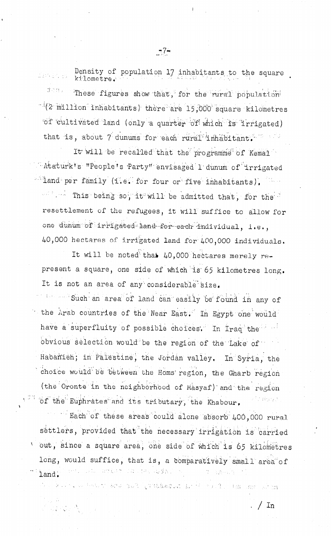Density of population 17 inhabitants to the square kilometre.

 $\tilde{\sigma}$  and  $\tilde{\sigma}$  . These figures show that, for the rural population  $^{-1}(2$  million inhabitants) there are 15,000 square kilometres of cultivated land (only a quarter of which is irrigated) that is, about 7 dunums for each rural inhabitant.

It will be recalled that the programme of Kemal "Ataturk's "People's Party" envisaged I dunum of irrigated alland per family (i.e. for four or five inhabitants). " " This being so, it will be admitted that, for the resettlement of the refugees, it will suffice to allow for

one dunum of irrigated land for each individual, i.e., 40,000 hectares of irrigated land for 400,000 individuals.

It will be noted that 40,000 hectares merely represent a square, one side of which is 65 kilometres long. It is not an area of any considerable size.

such an area of land can easily be found in any of the Arab countries of the Near East. In Egypt one would have a superfluity of possible choices. In Iraq the state obvious selection would be the region of the Lake of Habanieh, in Palestine, the Jordan valley. In Syria, the choice would be between the Homs region, the Gharb region (the Oronte in the neighborhood of Masyaf) and the region of the Euphrates and its tributary, the Khabour,

Each of these areas could alone absorb 400,000 rural settlers, provided that the necessary irrigation is carried out, since a square area, one side of which is 65 kilometres long, would suffice, that is, a comparatively small area of (以前以び)ではっぱり (の)受賞 ( ) やくしょ iand.

as terms actomated invaduation artist south the act of the

 $/$  In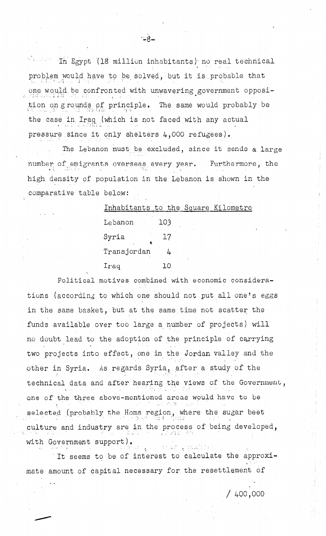" In Egypt (18 million inhabitants) no real technical problem would have to be solved, but it is probable that one would be confronted with unwavering government opposition on grounds of principle. The same would probably be the case in Iraq (which is not faced with any actual pressure since it only shelters 4,000 refugees).

The Lebanon must be excluded, since it sends a large number of emigrants overseas every year. Furthermore, the high density of population in the Lebanon is shown in the comparative table below:

| Inhabitants to the Square Kilometre |     |     |  |
|-------------------------------------|-----|-----|--|
| Lebanon                             | 103 |     |  |
| Syria<br>K                          |     | 17  |  |
| Transjordan                         |     |     |  |
| Iraq                                |     | 1 O |  |

Political motives combined with economic considerations (according to which one should not put all one's eggs in the same basket, but at the same time not scatter the funds available over too large a number of projects) will no doubt lead to the adoption of the principle of carrying two projects into effect, one in the Jordan valley and the other in Syria. As regards Syria, after a study of the technical data and after hearing the views of the Government, one of the three above-mentioned areas would have to be selected (probably the Homs region, where the sugar beet culture and industry are in the process of being developed, with Government support). ារយល់ ព្រះឈ្មោះ ! ព្

It seems to be of interest to calculate the approximate amount of capital necessary for the resettlement of

 $/400,000$ 

 $-8-$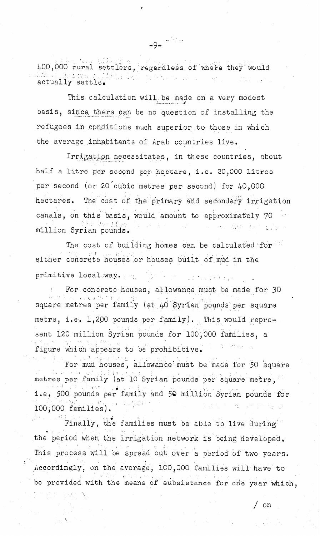400,000 rural settlers, regardless of where they would bayo ng Liling (gina ang kalawang ng pan actually settle.

 $-9 - \frac{1}{2}$ 

This calculation will be made on a very modest basis, since there can be no question of installing the refugees in conditions much superior to those in which the average inhabitants of Arab countries live.

Irrigation necessitates, in these countries, about half a litre per second per hectare, i.e. 20,000 litres per second (or 20 cubic metres per second) for 40,000 The cost of the primary and secondary irrigation hectares. canals, on this basis, would amount to approximately 70 Griden from rge i gen million Syrian pounds.

The cost of building homes can be calculated for either concrete houses or houses built of mud in the primitive local way. the state of a way to a present a great

For concrete houses, allowance must be made for 30 square metres per family (at 40 Syrian pounds per square metre, i.e. 1,200 pounds per family). This would represent 120 million Syrian pounds for 100,000 families, a figure which appears to be prohibitive.

For mud houses, allowance must be made for 50 square metres per family (at 10 Syrian pounds per square metre, i.e. 500 pounds per family and 50 million Syrian pounds for  $100,000$  families).

Finally, the families must be able to live during the period when the irrigation network is being developed. This process will be spread out over a period of two years. Accordingly, on the average, 100,000 families will have to be provided with the means of subsistance for one year which.

/ on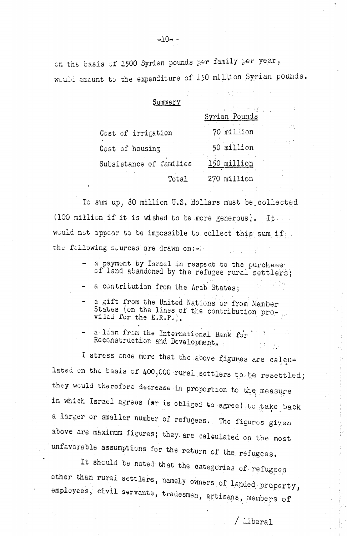on the basis of 1500 Syrian pounds per family per year, would amount to the expenditure of 150 million Syrian pounds.

| Summary                 |                           |
|-------------------------|---------------------------|
|                         | 나는 아이에 집<br>Syrian Pounds |
| Cost of irrigation      | 70 million                |
| Cost of housing         | 50 million                |
| Subsistance of families | million                   |
| Total                   | million                   |

To sum up, 80 million U.S. dollars must be collected (100 million if it is wished to be more generous). It would not appear to be impossible to collect this sum if ... the following sources are drawn on:-

- a payment by Israel in respect to the purchase of land abandoned by the refugee rural settlers;
- a contribution from the Arab States;
- a gift from the United Nations or from Member States (on the lines of the contribution pro-<br>vided for the E.R.P.).
- a loan from the International Bank for Reconstruction and Development.

I stress once more that the above figures are calculated on the basis of 400,000 rural settlers to be resettled; they would therefore decrease in proportion to the measure in which Israel agrees (or is obliged to agree) to take back a larger or smaller number of refugees. The figures given above are maximum figures; they are calculated on the most unfavorable assumptions for the return of the refugees.

It should be noted that the categories of refugees other than rural settlers, namely owners of landed property, employees, civil servants, tradesmen, artisans, members of

 $/$  liberal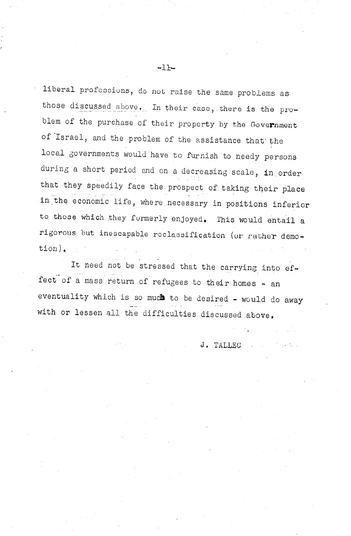liberal professions, do not raise the same problems as those discussed above. In their case, there is the problem of the purchase of their property by the Government of Israel, and the problem of the assistance that the local governments would have to furnish to needy persons during a short period and on a decreasing scale, in order that they speedily face the prospect of taking their place . . in the economic life, where necessary in positions inferior to those which they formerly enjoyed. This would entail a rigorous but inescapable reclassification (or rather demotion),

It need not be stressed that the carrying into effect of a mass return of refugees to their homes - an eventuality which is so much to be desired - would do away .<br>. . . . . . with or lessen all the difficulties discussed above,

J. TALLEC

.

 $-1$